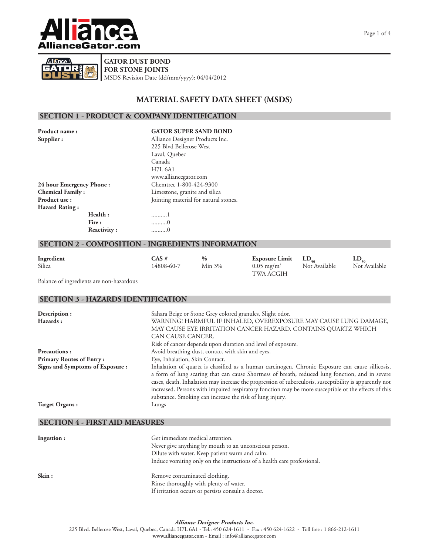



**GATOR DUST BOND FOR STONE JOINTS** MSDS Revision Date (dd/mm/yyyy): 04/04/2012

## **MATERIAL SAFETY DATA SHEET (MSDS)**

## **SECTION 1 - PRODUCT & COMPANY IDENTIFICATION**

| Product name:            | <b>GATOR SUPER SAND BOND</b>          |
|--------------------------|---------------------------------------|
| Supplier:                | Alliance Designer Products Inc.       |
|                          | 225 Blvd Bellerose West               |
|                          | Laval, Quebec                         |
|                          | Canada                                |
|                          | <b>H7L 6A1</b>                        |
|                          | www.alliancegator.com                 |
| 24 hour Emergency Phone: | Chemtrec 1-800-424-9300               |
| <b>Chemical Family:</b>  | Limestone, granite and silica         |
| Product use:             | Jointing material for natural stones. |
| <b>Hazard Rating:</b>    |                                       |
| Health:                  | 1                                     |
| Fire:                    | . 0                                   |
| Reactivity:              | . 0                                   |

## **SECTION 2 - COMPOSITION - INGREDIENTS INFORMATION**

| Ingredient | CAS#       | $\%$      | Exposure Limit $LD_{50}$ |               |               |
|------------|------------|-----------|--------------------------|---------------|---------------|
| Silica     | 14808-60-7 | $Min 3\%$ | $0.05 \text{ mg/m}^3$    | Not Available | Not Available |
|            |            |           | TWA ACGIH                |               |               |

Balance of ingredients are non-hazardous

### **SECTION 3 - HAZARDS IDENTIFICATION**

| Description:                           | Sahara Beige or Stone Grey colored granules, Slight odor.                                               |
|----------------------------------------|---------------------------------------------------------------------------------------------------------|
| <b>Hazards :</b>                       | WARNING! HARMFUL IF INHALED, OVEREXPOSURE MAY CAUSE LUNG DAMAGE,                                        |
|                                        | MAY CAUSE EYE IRRITATION CANCER HAZARD. CONTAINS QUARTZ WHICH                                           |
|                                        | CAN CAUSE CANCER.                                                                                       |
|                                        | Risk of cancer depends upon duration and level of exposure.                                             |
| <b>Precautions:</b>                    | Avoid breathing dust, contact with skin and eyes.                                                       |
| <b>Primary Routes of Entry :</b>       | Eye, Inhalation, Skin Contact.                                                                          |
| <b>Signs and Symptoms of Exposure:</b> | Inhalation of quartz is classified as a human carcinogen. Chronic Exposure can cause sillicosis,        |
|                                        | a form of lung scaring that can cause Shortness of breath, reduced lung fonction, and in severe         |
|                                        | cases, death. Inhalation may increase the progression of tuberculosis, susceptibility is apparently not |
|                                        | increased. Persons with impaired respiratory fonction may be more susceptible ot the effects of this    |
|                                        | substance. Smoking can increase the risk of lung injury.                                                |
| Target Organs:                         | Lungs                                                                                                   |
|                                        |                                                                                                         |

## **SECTION 4 - FIRST AID MEASURES**

| Ingestion : | Get immediate medical attention.<br>Never give anything by mouth to an unconscious person.<br>Dilute with water. Keep patient warm and calm.<br>Induce vomiting only on the instructions of a health care professional. |
|-------------|-------------------------------------------------------------------------------------------------------------------------------------------------------------------------------------------------------------------------|
| Skin:       | Remove contaminated clothing.<br>Rinse thoroughly with plenty of water.<br>If irritation occurs or persists consult a doctor.                                                                                           |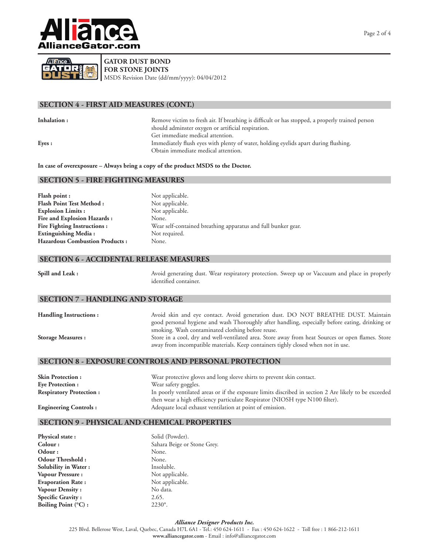



# **GATOR DUST BOND**

**FOR STONE JOINTS**

MSDS Revision Date (dd/mm/yyyy): 04/04/2012

## **SECTION 4 - FIRST AID MEASURES (CONT.)**

**Inhalation :** Remove victim to fresh air. If breathing is difficult or has stopped, a properly trained person should adminster oxygen or artificial respiration. Get immediate medical attention. **Eyes : Immediately flush eyes with plenty of water, holding eyelids apart during flushing.** Obtain immediate medical attention.

**In case of overexposure – Always bring a copy of the product MSDS to the Doctor.**

## **SECTION 5 - FIRE FIGHTING MEASURES**

| <b>Flash point :</b>                   | Not applicable.                                               |
|----------------------------------------|---------------------------------------------------------------|
| <b>Flash Point Test Method :</b>       | Not applicable.                                               |
| <b>Explosion Limits:</b>               | Not applicable.                                               |
| <b>Fire and Explosion Hazards :</b>    | None.                                                         |
| <b>Fire Fighting Instructions:</b>     | Wear self-contained breathing apparatus and full bunker gear. |
| <b>Extinguishing Media:</b>            | Not required.                                                 |
| <b>Hazardous Combustion Products :</b> | None.                                                         |
|                                        |                                                               |

## **SECTION 6 - ACCIDENTAL RELEASE MEASURES**

| Spill and Leak : | Avoid generating dust. Wear respiratory protection. Sweep up or Vaccuum and place in properly |
|------------------|-----------------------------------------------------------------------------------------------|
|                  | identified container.                                                                         |

## **SECTION 7 - HANDLING AND STORAGE**

| <b>Handling Instructions:</b> | Avoid skin and eye contact. Avoid generation dust. DO NOT BREATHE DUST. Maintain<br>good personal hygiene and wash Thoroughly after handling, especially before eating, drinking or                                                        |
|-------------------------------|--------------------------------------------------------------------------------------------------------------------------------------------------------------------------------------------------------------------------------------------|
| <b>Storage Measures :</b>     | smoking. Wash contaminated clothing before reuse.<br>Store in a cool, dry and well-ventilated area. Store away from heat Sources or open flames. Store<br>away from incompatible materials. Keep containers tighly closed when not in use. |

#### **SECTION 8 - EXPOSURE CONTROLS AND PERSONAL PROTECTION**

| <b>Skin Protection:</b>        | Wear protective gloves and long sleeve shirts to prevent skin contact.                                |
|--------------------------------|-------------------------------------------------------------------------------------------------------|
| <b>Eve Protection:</b>         | Wear safety goggles.                                                                                  |
| <b>Respiratory Protection:</b> | In poorly ventilated areas or if the exposure limits discribed in section 2 Are likely to be exceeded |
|                                | then wear a high efficiency particulate Respirator (NIOSH type N100 filter).                          |
| <b>Engineering Controls:</b>   | Adequate local exhaust ventilation at point of emission.                                              |

## **SECTION 9 - PHYSICAL AND CHEMICAL PROPERTIES**

| Physical state:               | Solid (Powder).             |
|-------------------------------|-----------------------------|
| Colour:                       | Sahara Beige or Stone Grey. |
| Odour:                        | None.                       |
| <b>Odour Threshold:</b>       | None.                       |
| Solubility in Water:          | Insoluble.                  |
| Vapour Pressure:              | Not applicable.             |
| <b>Evaporation Rate:</b>      | Not applicable.             |
| Vapour Density:               | No data.                    |
| Specific Gravity:             | 2.65.                       |
| Boiling Point $(^{\circ}C)$ : | $2230^\circ$ .              |

## *Alliance Designer Products Inc.*

225 Blvd. Bellerose West, Laval, Quebec, Canada H7L 6A1 - Tel.: 450 624-1611 - Fax : 450 624-1622 - Toll free : 1 866-212-1611 **www.alliancegator.com** - Email : info@alliancegator.com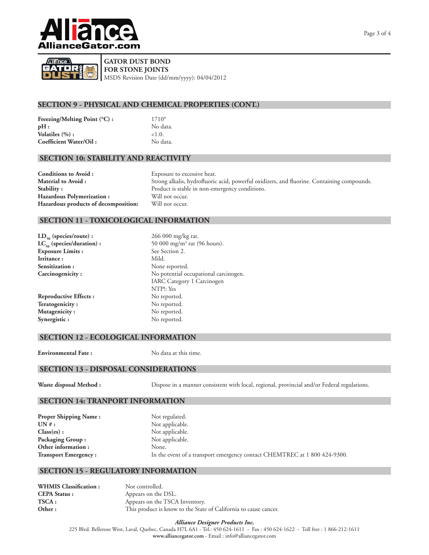



## **GATOR DUST BOND**

**FOR STONE JOINTS** MSDS Revision Date (dd/mm/yyyy): 04/04/2012

# **SECTION 9 - PHYSICAL AND CHEMICAL PROPERTIES (CONT.)**

| Freezing/Melting Point $({}^{\circ}C)$ : | $1710^{\circ}$ |
|------------------------------------------|----------------|
| pH:                                      | No da          |
| Volatiles $(\%):$                        | < 1.0.         |
| Coefficient Water/Oil:                   | No da          |

No data. No data.

## **SECTION 10: STABILITY AND REACTIVITY**

**Conditions to Avoid :** Exposure to excessive heat. Hazardous Polymerization : Will not occur. **Hazardous products of decomposition:** Will not occur.

**Material to Avoid :** Strong alkalis, hydrofluoric acid, powerful oxidizers, and fluorine. Containing compounds. **Stability :** Product is stable in non-emergency conditions.

### **SECTION 11 - TOXICOLOGICAL INFORMATION**

| $LD_{50}$ (species/route) :    | 266 0  |
|--------------------------------|--------|
| $LC_{50}$ (species/duration) : | 50 00  |
| <b>Exposure Limits:</b>        | See Se |
| Irritance:                     | Mild.  |
| Sensitization:                 | None   |
| Carcinogenicity:               | No po  |

**LD50 (species/route) :** 266 000 mg/kg rat.  $LC_{50}$  (species/duration): 50 000 mg/m<sup>3</sup> rat (96 hours). See Section 2. None reported. No potential occupational carcinogen. IARC Category 1 Carcinogen NTP!: Yes Reproductive Effects : No reported. Teratogenicity : No reported. **Mutagenicity :** No reported. Synergistic : No reported.

## **SECTION 12 - ECOLOGICAL INFORMATION**

**Environmental Fate :** No data at this time.

## **SECTION 13 - DISPOSAL CONSIDERATIONS**

**Waste disposal Method :** Dispose in a manner consistent with local, regional, provincial and/or Federal regulations.

## **SECTION 14: TRANPORT INFORMATION**

| <b>Proper Shipping Name:</b> | Not regulated.                                                            |
|------------------------------|---------------------------------------------------------------------------|
| $UN#$ :                      | Not applicable.                                                           |
| Class(es):                   | Not applicable.                                                           |
| <b>Packaging Group:</b>      | Not applicable.                                                           |
| Other information:           | None.                                                                     |
| <b>Transport Emergency:</b>  | In the event of a transport emergency contact CHEMTREC at 1 800 424-9300. |

## **SECTION 15 - REGULATORY INFORMATION**

WHMIS Classification : Not controlled. **CEPA Status :** Appears on the DSL. **TSCA :** Appears on the TSCA Inventory. **Other :** This product is know to the State of California to cause cancer.

#### *Alliance Designer Products Inc.*

225 Blvd. Bellerose West, Laval, Quebec, Canada H7L 6A1 - Tel.: 450 624-1611 - Fax : 450 624-1622 - Toll free : 1 866-212-1611 **www.alliancegator.com** - Email : info@alliancegator.com